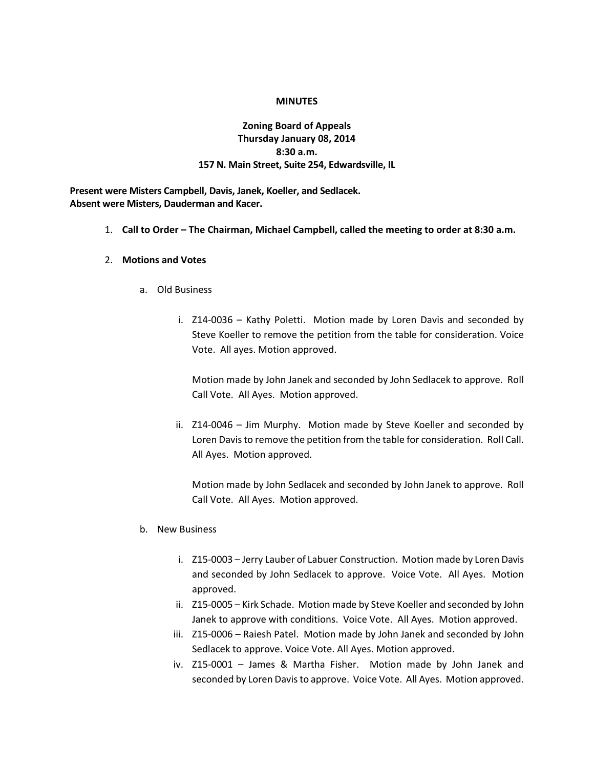### **MINUTES**

# **Zoning Board of Appeals Thursday January 08, 2014 8:30 a.m. 157 N. Main Street, Suite 254, Edwardsville, IL**

**Present were Misters Campbell, Davis, Janek, Koeller, and Sedlacek. Absent were Misters, Dauderman and Kacer.**

1. **Call to Order – The Chairman, Michael Campbell, called the meeting to order at 8:30 a.m.**

#### 2. **Motions and Votes**

- a. Old Business
	- i. Z14-0036 Kathy Poletti. Motion made by Loren Davis and seconded by Steve Koeller to remove the petition from the table for consideration. Voice Vote. All ayes. Motion approved.

Motion made by John Janek and seconded by John Sedlacek to approve. Roll Call Vote. All Ayes. Motion approved.

ii. Z14-0046 – Jim Murphy. Motion made by Steve Koeller and seconded by Loren Davis to remove the petition from the table for consideration. Roll Call. All Ayes. Motion approved.

Motion made by John Sedlacek and seconded by John Janek to approve. Roll Call Vote. All Ayes. Motion approved.

#### b. New Business

- i. Z15-0003 Jerry Lauber of Labuer Construction. Motion made by Loren Davis and seconded by John Sedlacek to approve. Voice Vote. All Ayes. Motion approved.
- ii. Z15-0005 Kirk Schade. Motion made by Steve Koeller and seconded by John Janek to approve with conditions. Voice Vote. All Ayes. Motion approved.
- iii. Z15-0006 Raiesh Patel. Motion made by John Janek and seconded by John Sedlacek to approve. Voice Vote. All Ayes. Motion approved.
- iv. Z15-0001 James & Martha Fisher. Motion made by John Janek and seconded by Loren Davis to approve. Voice Vote. All Ayes. Motion approved.